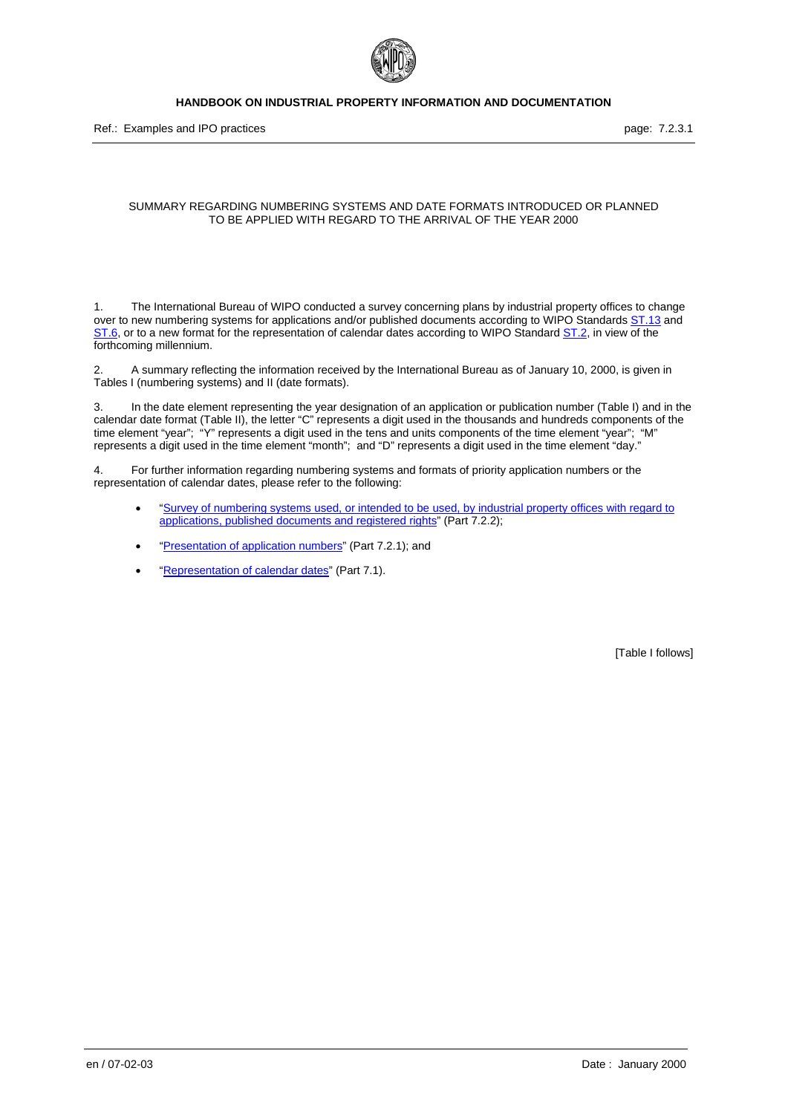

Ref.: Examples and IPO practices **page: 7.2.3.1** and intervention of the state page: 7.2.3.1

#### SUMMARY REGARDING NUMBERING SYSTEMS AND DATE FORMATS INTRODUCED OR PLANNED TO BE APPLIED WITH REGARD TO THE ARRIVAL OF THE YEAR 2000

1. The International Bureau of WIPO conducted a survey concerning plans by industrial property offices to change over to new numbering systems for applications and/or published documents according to WIPO Standards ST.13 and ST.6, or to a new format for the representation of calendar dates according to WIPO Standard ST.2, in view of the forthcoming millennium.

2. A summary reflecting the information received by the International Bureau as of January 10, 2000, is given in Tables I (numbering systems) and II (date formats).

3. In the date element representing the year designation of an application or publication number (Table I) and in the calendar date format (Table II), the letter "C" represents a digit used in the thousands and hundreds components of the time element "year"; "Y" represents a digit used in the tens and units components of the time element "year"; "M" represents a digit used in the time element "month"; and "D" represents a digit used in the time element "day."

4. For further information regarding numbering systems and formats of priority application numbers or the representation of calendar dates, please refer to the following:

- "Survey of numbering systems used, or intended to be used, by industrial property offices with regard to applications, published documents and registered rights" (Part 7.2.2);
- "Presentation of application numbers" (Part 7.2.1); and
- "Representation of calendar dates" (Part 7.1).

[Table I follows]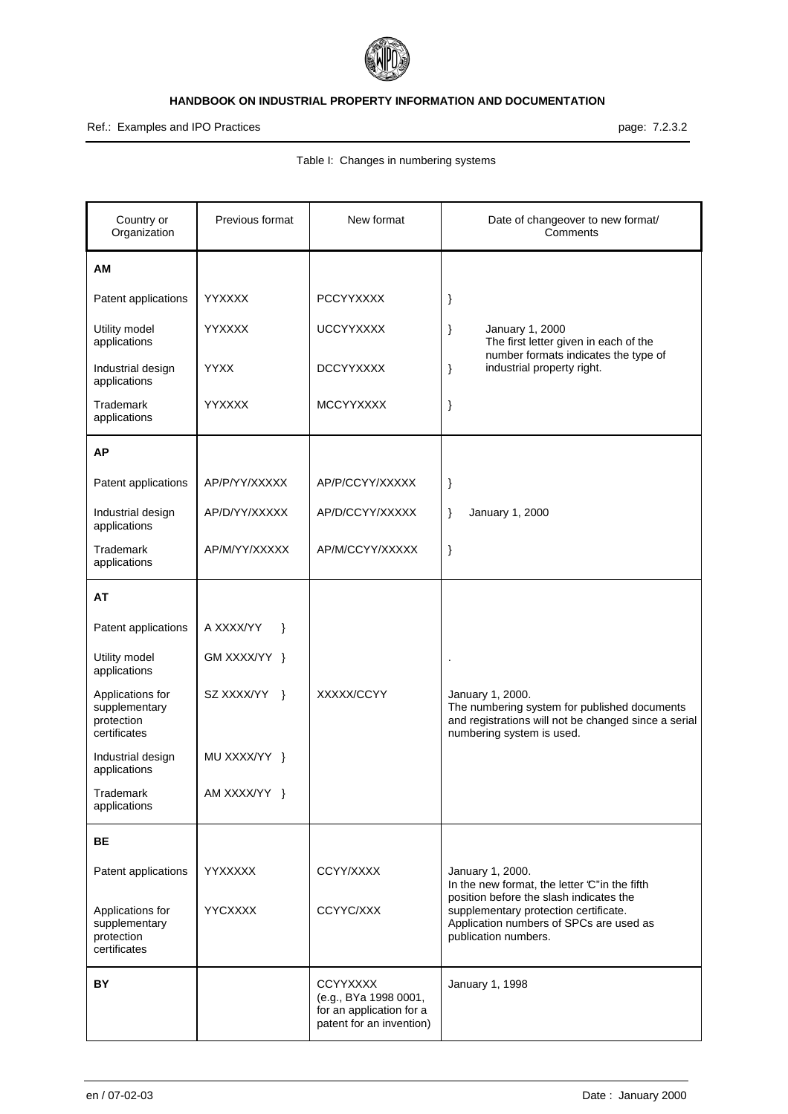

# Ref.: Examples and IPO Practices **page: 7.2.3.2**

| Country or<br>Organization                                      | Previous format            | New format                                                                                       | Date of changeover to new format/<br>Comments                                                                                                         |
|-----------------------------------------------------------------|----------------------------|--------------------------------------------------------------------------------------------------|-------------------------------------------------------------------------------------------------------------------------------------------------------|
| AM                                                              |                            |                                                                                                  |                                                                                                                                                       |
| Patent applications                                             | <b>YYXXXX</b>              | <b>PCCYYXXXX</b>                                                                                 | }                                                                                                                                                     |
| Utility model<br>applications                                   | <b>YYXXXX</b>              | <b>UCCYYXXXX</b>                                                                                 | January 1, 2000<br>}<br>The first letter given in each of the                                                                                         |
| Industrial design<br>applications                               | <b>YYXX</b>                | <b>DCCYYXXXX</b>                                                                                 | number formats indicates the type of<br>industrial property right.<br>$\}$                                                                            |
| Trademark<br>applications                                       | <b>YYXXXX</b>              | <b>MCCYYXXXX</b>                                                                                 | }                                                                                                                                                     |
| <b>AP</b>                                                       |                            |                                                                                                  |                                                                                                                                                       |
| Patent applications                                             | AP/P/YY/XXXXX              | AP/P/CCYY/XXXXX                                                                                  | }                                                                                                                                                     |
| Industrial design<br>applications                               | AP/D/YY/XXXXX              | AP/D/CCYY/XXXXX                                                                                  | }<br>January 1, 2000                                                                                                                                  |
| <b>Trademark</b><br>applications                                | AP/M/YY/XXXXX              | AP/M/CCYY/XXXXX                                                                                  | $\}$                                                                                                                                                  |
| AT                                                              |                            |                                                                                                  |                                                                                                                                                       |
| Patent applications                                             | A XXXX/YY<br>$\rightarrow$ |                                                                                                  |                                                                                                                                                       |
| Utility model<br>applications                                   | GM XXXX/YY }               |                                                                                                  |                                                                                                                                                       |
| Applications for<br>supplementary<br>protection<br>certificates | SZ XXXX/YY<br>- }          | XXXXX/CCYY                                                                                       | January 1, 2000.<br>The numbering system for published documents<br>and registrations will not be changed since a serial<br>numbering system is used. |
| Industrial design<br>applications                               | MU XXXX/YY }               |                                                                                                  |                                                                                                                                                       |
| Trademark<br>applications                                       | AM XXXX/YY }               |                                                                                                  |                                                                                                                                                       |
| BE                                                              |                            |                                                                                                  |                                                                                                                                                       |
| Patent applications                                             | <b>YYXXXXX</b>             | CCYY/XXXX                                                                                        | January 1, 2000.<br>In the new format, the letter 'C" in the fifth                                                                                    |
| Applications for<br>supplementary<br>protection<br>certificates | <b>YYCXXXX</b>             | CCYYC/XXX                                                                                        | position before the slash indicates the<br>supplementary protection certificate.<br>Application numbers of SPCs are used as<br>publication numbers.   |
| BY                                                              |                            | <b>CCYYXXXX</b><br>(e.g., BYa 1998 0001,<br>for an application for a<br>patent for an invention) | January 1, 1998                                                                                                                                       |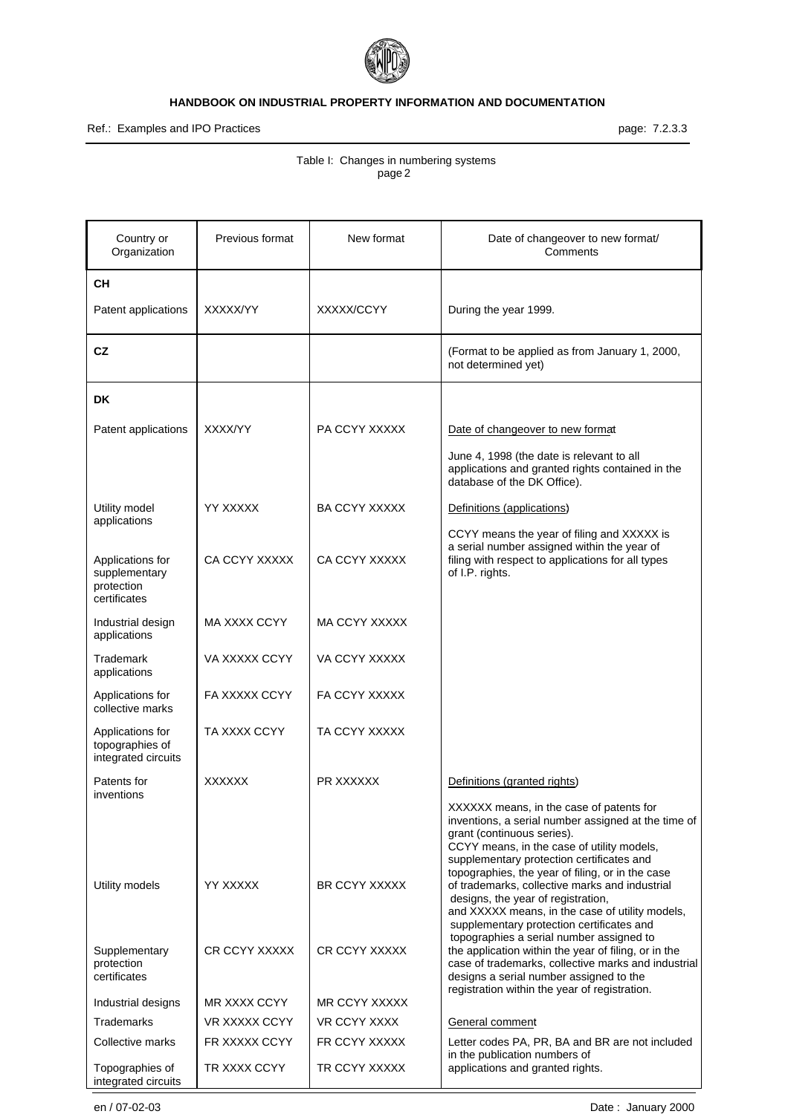

Ref.: Examples and IPO Practices **page: 7.2.3.3** page: 7.2.3.3

| Country or<br>Organization                                 | Previous format      | New format           | Date of changeover to new format/<br>Comments                                                                                                                                                                                                                                        |
|------------------------------------------------------------|----------------------|----------------------|--------------------------------------------------------------------------------------------------------------------------------------------------------------------------------------------------------------------------------------------------------------------------------------|
| CН                                                         |                      |                      |                                                                                                                                                                                                                                                                                      |
| Patent applications                                        | XXXXX/YY             | XXXXX/CCYY           | During the year 1999.                                                                                                                                                                                                                                                                |
| CZ                                                         |                      |                      | (Format to be applied as from January 1, 2000,<br>not determined yet)                                                                                                                                                                                                                |
| DK                                                         |                      |                      |                                                                                                                                                                                                                                                                                      |
| Patent applications                                        | <b>XXXX/YY</b>       | PA CCYY XXXXX        | Date of changeover to new format                                                                                                                                                                                                                                                     |
|                                                            |                      |                      | June 4, 1998 (the date is relevant to all<br>applications and granted rights contained in the<br>database of the DK Office).                                                                                                                                                         |
| Utility model                                              | YY XXXXX             | <b>BA CCYY XXXXX</b> | Definitions (applications)                                                                                                                                                                                                                                                           |
| applications<br>Applications for                           | CA CCYY XXXXX        | CA CCYY XXXXX        | CCYY means the year of filing and XXXXX is<br>a serial number assigned within the year of<br>filing with respect to applications for all types                                                                                                                                       |
| supplementary<br>protection<br>certificates                |                      |                      | of I.P. rights.                                                                                                                                                                                                                                                                      |
| Industrial design<br>applications                          | MA XXXX CCYY         | MA CCYY XXXXX        |                                                                                                                                                                                                                                                                                      |
| Trademark<br>applications                                  | VA XXXXX CCYY        | VA CCYY XXXXX        |                                                                                                                                                                                                                                                                                      |
| Applications for<br>collective marks                       | <b>FA XXXXX CCYY</b> | FA CCYY XXXXX        |                                                                                                                                                                                                                                                                                      |
| Applications for<br>topographies of<br>integrated circuits | TA XXXX CCYY         | TA CCYY XXXXX        |                                                                                                                                                                                                                                                                                      |
| Patents for<br>inventions                                  | <b>XXXXXX</b>        | <b>PR XXXXXX</b>     | Definitions (granted rights)                                                                                                                                                                                                                                                         |
|                                                            |                      |                      | XXXXXX means, in the case of patents for<br>inventions, a serial number assigned at the time of<br>grant (continuous series).<br>CCYY means, in the case of utility models,<br>supplementary protection certificates and                                                             |
| Utility models                                             | YY XXXXX             | BR CCYY XXXXX        | topographies, the year of filing, or in the case<br>of trademarks, collective marks and industrial<br>designs, the year of registration,<br>and XXXXX means, in the case of utility models,<br>supplementary protection certificates and<br>topographies a serial number assigned to |
| Supplementary<br>protection<br>certificates                | <b>CR CCYY XXXXX</b> | CR CCYY XXXXX        | the application within the year of filing, or in the<br>case of trademarks, collective marks and industrial<br>designs a serial number assigned to the<br>registration within the year of registration.                                                                              |
| Industrial designs                                         | MR XXXX CCYY         | MR CCYY XXXXX        |                                                                                                                                                                                                                                                                                      |
| Trademarks                                                 | <b>VR XXXXX CCYY</b> | VR CCYY XXXX         | General comment                                                                                                                                                                                                                                                                      |
| Collective marks                                           | FR XXXXX CCYY        | FR CCYY XXXXX        | Letter codes PA, PR, BA and BR are not included                                                                                                                                                                                                                                      |
| Topographies of<br>integrated circuits                     | TR XXXX CCYY         | TR CCYY XXXXX        | in the publication numbers of<br>applications and granted rights.                                                                                                                                                                                                                    |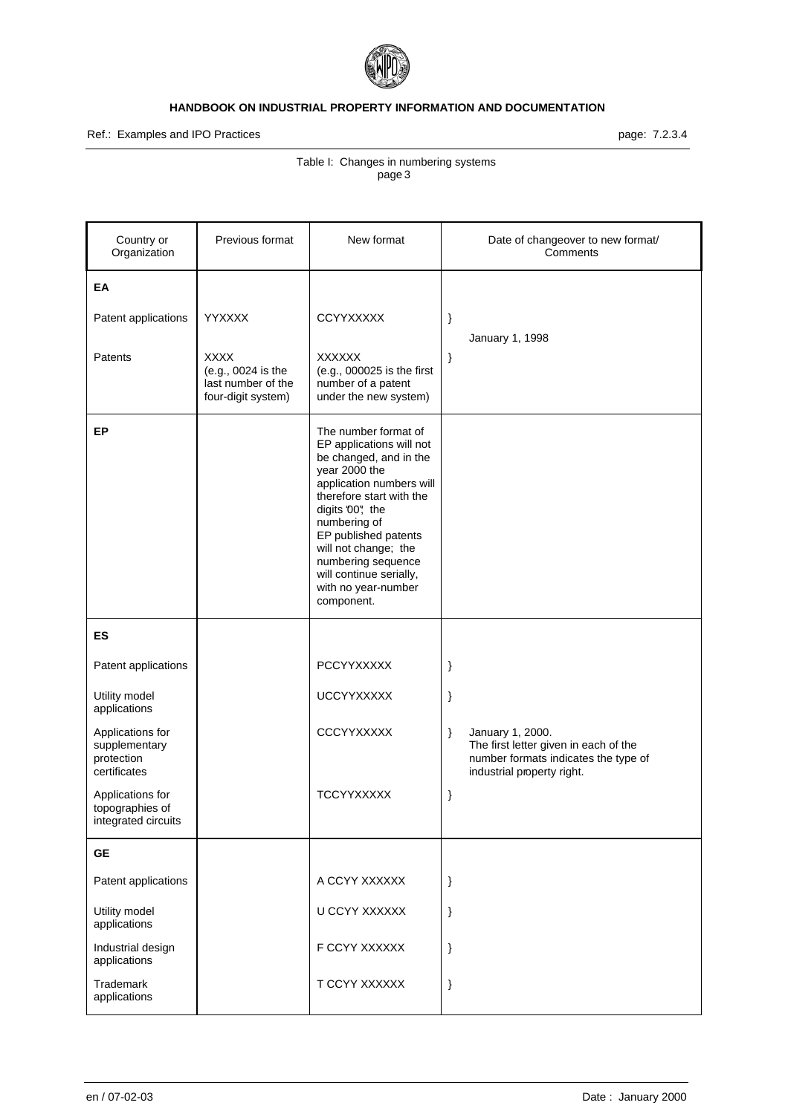

# Ref.: Examples and IPO Practices **page: 7.2.3.4**

| Country or<br>Organization                                      | Previous format                                                               | New format                                                                                                                                                                                                                                                                                                                    |      | Date of changeover to new format/<br>Comments                                                                                   |
|-----------------------------------------------------------------|-------------------------------------------------------------------------------|-------------------------------------------------------------------------------------------------------------------------------------------------------------------------------------------------------------------------------------------------------------------------------------------------------------------------------|------|---------------------------------------------------------------------------------------------------------------------------------|
| EA                                                              |                                                                               |                                                                                                                                                                                                                                                                                                                               |      |                                                                                                                                 |
| Patent applications                                             | <b>YYXXXX</b>                                                                 | <b>CCYYXXXXX</b>                                                                                                                                                                                                                                                                                                              | }    | January 1, 1998                                                                                                                 |
| Patents                                                         | <b>XXXX</b><br>(e.g., 0024 is the<br>last number of the<br>four-digit system) | <b>XXXXXX</b><br>(e.g., 000025 is the first<br>number of a patent<br>under the new system)                                                                                                                                                                                                                                    | }    |                                                                                                                                 |
| EP                                                              |                                                                               | The number format of<br>EP applications will not<br>be changed, and in the<br>year 2000 the<br>application numbers will<br>therefore start with the<br>digits '00", the<br>numbering of<br>EP published patents<br>will not change; the<br>numbering sequence<br>will continue serially,<br>with no year-number<br>component. |      |                                                                                                                                 |
| ES                                                              |                                                                               |                                                                                                                                                                                                                                                                                                                               |      |                                                                                                                                 |
| Patent applications                                             |                                                                               | PCCYYXXXXX                                                                                                                                                                                                                                                                                                                    | }    |                                                                                                                                 |
| Utility model<br>applications                                   |                                                                               | <b>UCCYYXXXXX</b>                                                                                                                                                                                                                                                                                                             | }    |                                                                                                                                 |
| Applications for<br>supplementary<br>protection<br>certificates |                                                                               | <b>CCCYYXXXXX</b>                                                                                                                                                                                                                                                                                                             | $\}$ | January 1, 2000.<br>The first letter given in each of the<br>number formats indicates the type of<br>industrial property right. |
| Applications for<br>topographies of<br>integrated circuits      |                                                                               | <b>TCCYYXXXXX</b>                                                                                                                                                                                                                                                                                                             | }    |                                                                                                                                 |
| <b>GE</b>                                                       |                                                                               |                                                                                                                                                                                                                                                                                                                               |      |                                                                                                                                 |
| Patent applications                                             |                                                                               | A CCYY XXXXXX                                                                                                                                                                                                                                                                                                                 | }    |                                                                                                                                 |
| Utility model<br>applications                                   |                                                                               | U CCYY XXXXXX                                                                                                                                                                                                                                                                                                                 | }    |                                                                                                                                 |
| Industrial design<br>applications                               |                                                                               | F CCYY XXXXXX                                                                                                                                                                                                                                                                                                                 | }    |                                                                                                                                 |
| Trademark<br>applications                                       |                                                                               | T CCYY XXXXXX                                                                                                                                                                                                                                                                                                                 | }    |                                                                                                                                 |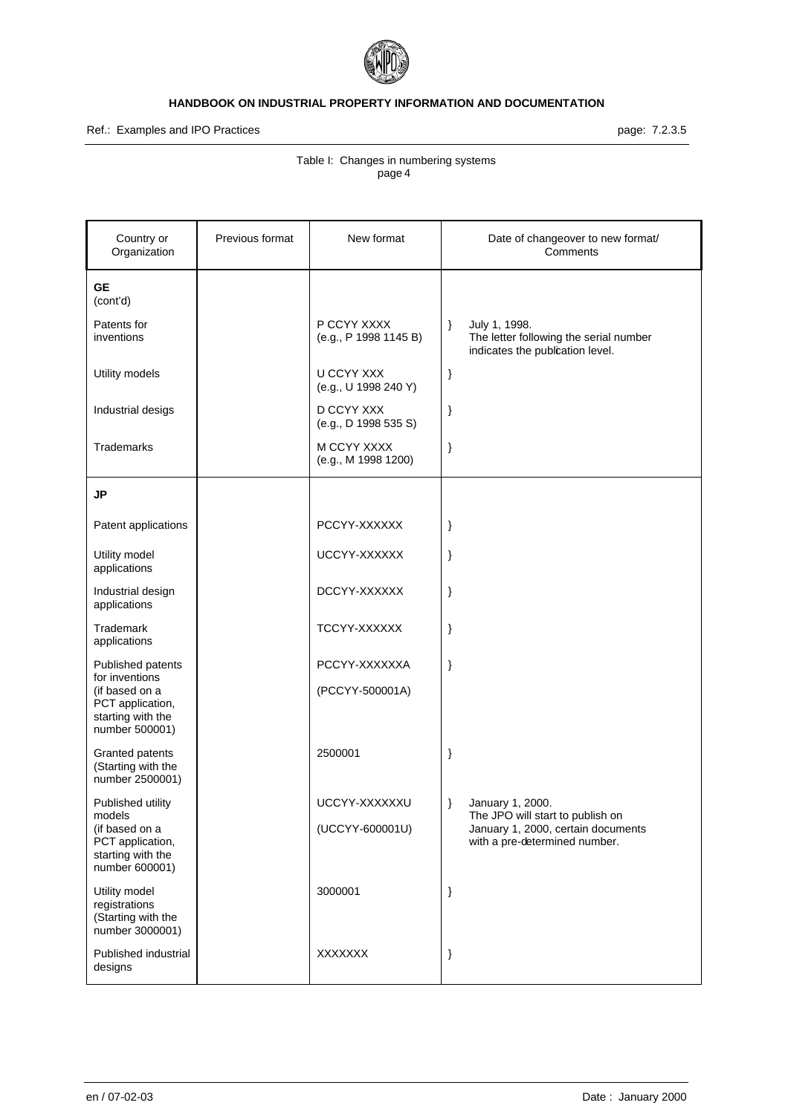

Ref.: Examples and IPO Practices **page: 7.2.3.5** page: 7.2.3.5

| Country or<br>Organization                                                | Previous format | New format                                |      | Date of changeover to new format/<br>Comments                                               |
|---------------------------------------------------------------------------|-----------------|-------------------------------------------|------|---------------------------------------------------------------------------------------------|
| <b>GE</b><br>(cont'd)                                                     |                 |                                           |      |                                                                                             |
| Patents for<br>inventions                                                 |                 | P CCYY XXXX<br>(e.g., P 1998 1145 B)      | $\}$ | July 1, 1998.<br>The letter following the serial number<br>indicates the publication level. |
| Utility models                                                            |                 | <b>U CCYY XXX</b><br>(e.g., U 1998 240 Y) | }    |                                                                                             |
| Industrial desigs                                                         |                 | D CCYY XXX<br>(e.g., D 1998 535 S)        | }    |                                                                                             |
| Trademarks                                                                |                 | M CCYY XXXX<br>(e.g., M 1998 1200)        | $\}$ |                                                                                             |
| <b>JP</b>                                                                 |                 |                                           |      |                                                                                             |
| Patent applications                                                       |                 | PCCYY-XXXXXX                              | }    |                                                                                             |
| Utility model<br>applications                                             |                 | UCCYY-XXXXXX                              | }    |                                                                                             |
| Industrial design<br>applications                                         |                 | DCCYY-XXXXXX                              | }    |                                                                                             |
| Trademark<br>applications                                                 |                 | TCCYY-XXXXXX                              | }    |                                                                                             |
| Published patents<br>for inventions                                       |                 | PCCYY-XXXXXXA                             | }    |                                                                                             |
| (if based on a<br>PCT application,<br>starting with the<br>number 500001) |                 | (PCCYY-500001A)                           |      |                                                                                             |
| Granted patents<br>(Starting with the<br>number 2500001)                  |                 | 2500001                                   | }    |                                                                                             |
| Published utility<br>models                                               |                 | UCCYY-XXXXXXU                             | $\}$ | January 1, 2000.<br>The JPO will start to publish on                                        |
| (if based on a<br>PCT application,<br>starting with the<br>number 600001) |                 | (UCCYY-600001U)                           |      | January 1, 2000, certain documents<br>with a pre-determined number.                         |
| Utility model<br>registrations<br>(Starting with the<br>number 3000001)   |                 | 3000001                                   | $\}$ |                                                                                             |
| Published industrial<br>designs                                           |                 | <b>XXXXXXX</b>                            | $\}$ |                                                                                             |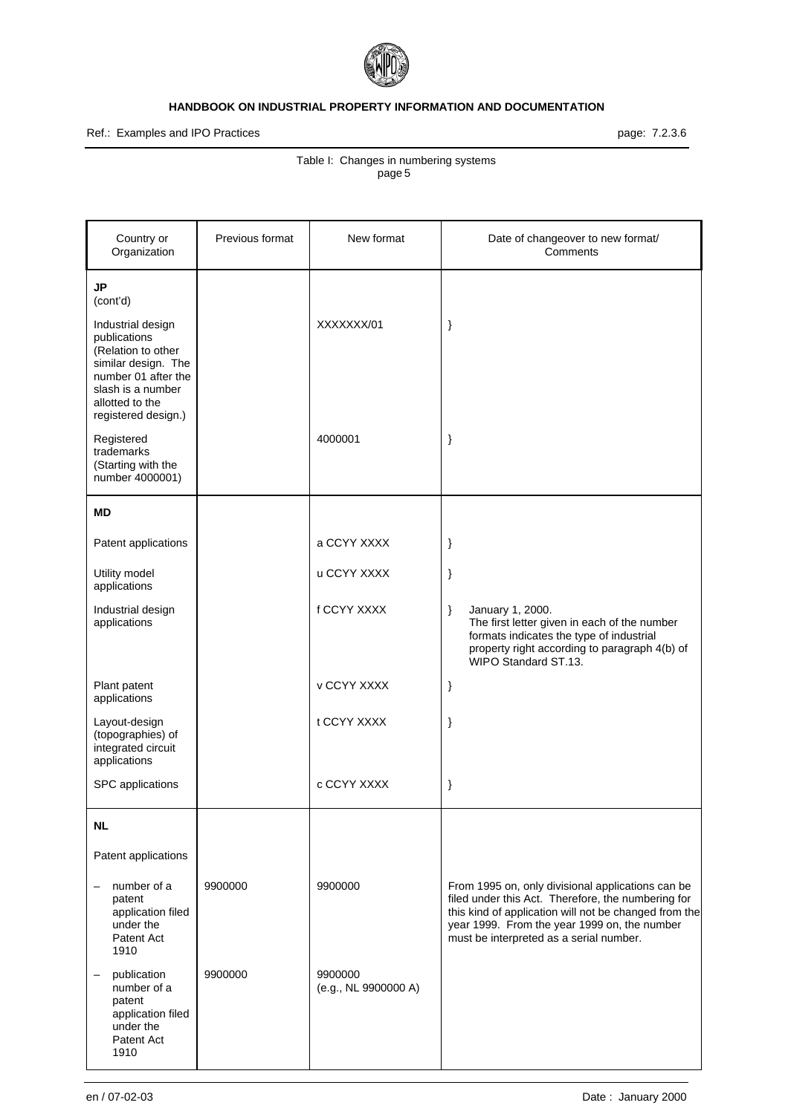

Ref.: Examples and IPO Practices **page: 7.2.3.6** page: 7.2.3.6

| Country or<br>Organization                                                                                               | Previous format | New format                      | Date of changeover to new format/<br>Comments                                                                                                                                                                                                               |
|--------------------------------------------------------------------------------------------------------------------------|-----------------|---------------------------------|-------------------------------------------------------------------------------------------------------------------------------------------------------------------------------------------------------------------------------------------------------------|
| <b>JP</b><br>(cont'd)<br>Industrial design<br>publications<br>(Relation to other                                         |                 | XXXXXXX/01                      | }                                                                                                                                                                                                                                                           |
| similar design. The<br>number 01 after the<br>slash is a number<br>allotted to the<br>registered design.)                |                 |                                 |                                                                                                                                                                                                                                                             |
| Registered<br>trademarks<br>(Starting with the<br>number 4000001)                                                        |                 | 4000001                         | }                                                                                                                                                                                                                                                           |
| ΜD                                                                                                                       |                 |                                 |                                                                                                                                                                                                                                                             |
| Patent applications                                                                                                      |                 | a CCYY XXXX                     | }                                                                                                                                                                                                                                                           |
| Utility model<br>applications                                                                                            |                 | u CCYY XXXX                     | }                                                                                                                                                                                                                                                           |
| Industrial design<br>applications                                                                                        |                 | f CCYY XXXX                     | $\}$<br>January 1, 2000.<br>The first letter given in each of the number<br>formats indicates the type of industrial<br>property right according to paragraph 4(b) of<br>WIPO Standard ST.13.                                                               |
| Plant patent<br>applications                                                                                             |                 | <b>v CCYY XXXX</b>              | }                                                                                                                                                                                                                                                           |
| Layout-design<br>(topographies) of<br>integrated circuit<br>applications                                                 |                 | t CCYY XXXX                     | }                                                                                                                                                                                                                                                           |
| SPC applications                                                                                                         |                 | c CCYY XXXX                     | }                                                                                                                                                                                                                                                           |
| <b>NL</b>                                                                                                                |                 |                                 |                                                                                                                                                                                                                                                             |
| Patent applications                                                                                                      |                 |                                 |                                                                                                                                                                                                                                                             |
| number of a<br>-<br>patent<br>application filed<br>under the<br>Patent Act<br>1910                                       | 9900000         | 9900000                         | From 1995 on, only divisional applications can be<br>filed under this Act. Therefore, the numbering for<br>this kind of application will not be changed from the<br>year 1999. From the year 1999 on, the number<br>must be interpreted as a serial number. |
| publication<br>$\overline{\phantom{0}}$<br>number of a<br>patent<br>application filed<br>under the<br>Patent Act<br>1910 | 9900000         | 9900000<br>(e.g., NL 9900000 A) |                                                                                                                                                                                                                                                             |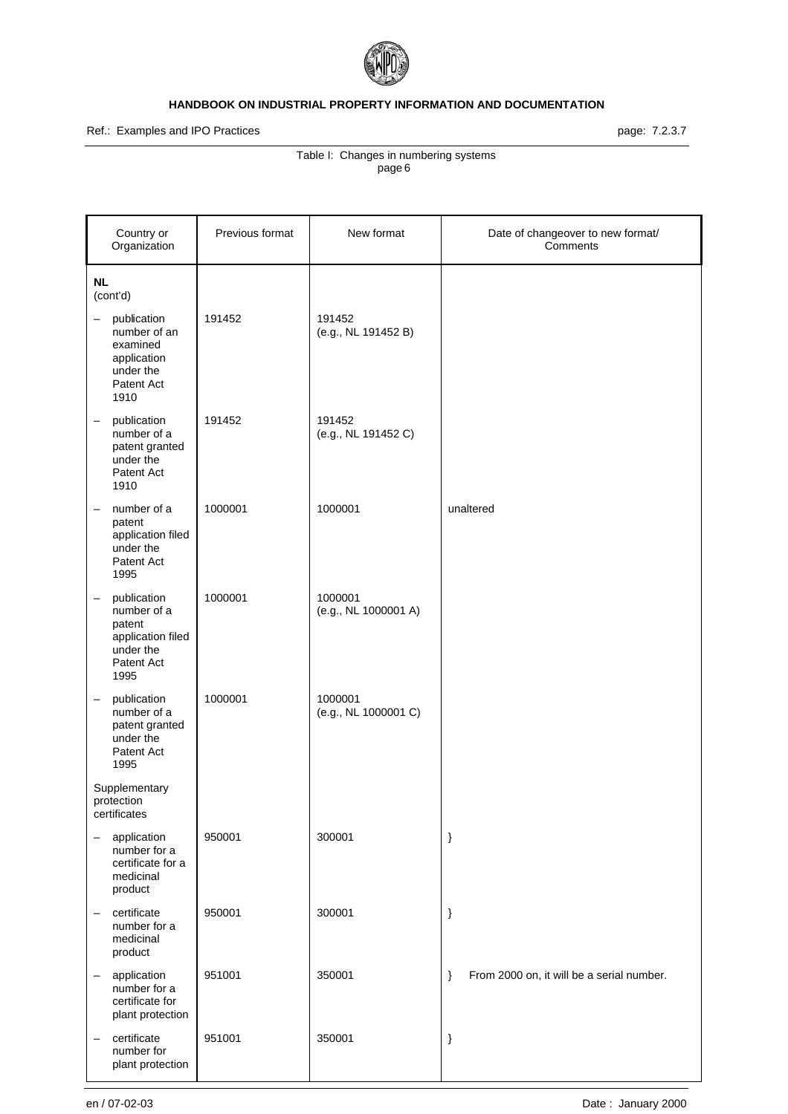

Ref.: Examples and IPO Practices **page: 7.2.3.7** page: 7.2.3.7

| Country or<br>Organization                                                                                        | Previous format | New format                      | Date of changeover to new format/<br>Comments     |
|-------------------------------------------------------------------------------------------------------------------|-----------------|---------------------------------|---------------------------------------------------|
| <b>NL</b><br>(cont'd)                                                                                             |                 |                                 |                                                   |
| publication<br>$\qquad \qquad -$<br>number of an<br>examined<br>application<br>under the<br>Patent Act<br>1910    | 191452          | 191452<br>(e.g., NL 191452 B)   |                                                   |
| publication<br>$\qquad \qquad -$<br>number of a<br>patent granted<br>under the<br>Patent Act<br>1910              | 191452          | 191452<br>(e.g., NL 191452 C)   |                                                   |
| number of a<br>$\qquad \qquad -$<br>patent<br>application filed<br>under the<br>Patent Act<br>1995                | 1000001         | 1000001                         | unaltered                                         |
| publication<br>$\qquad \qquad -$<br>number of a<br>patent<br>application filed<br>under the<br>Patent Act<br>1995 | 1000001         | 1000001<br>(e.g., NL 1000001 A) |                                                   |
| publication<br>$\qquad \qquad -$<br>number of a<br>patent granted<br>under the<br>Patent Act<br>1995              | 1000001         | 1000001<br>(e.g., NL 1000001 C) |                                                   |
| Supplementary<br>protection<br>certificates                                                                       |                 |                                 |                                                   |
| application<br>number for a<br>certificate for a<br>medicinal<br>product                                          | 950001          | 300001                          | $\}$                                              |
| certificate<br>$\qquad \qquad -$<br>number for a<br>medicinal<br>product                                          | 950001          | 300001                          | $\}$                                              |
| application<br>$\qquad \qquad -$<br>number for a<br>certificate for<br>plant protection                           | 951001          | 350001                          | From 2000 on, it will be a serial number.<br>$\}$ |
| certificate<br>$\qquad \qquad -$<br>number for<br>plant protection                                                | 951001          | 350001                          | $\}$                                              |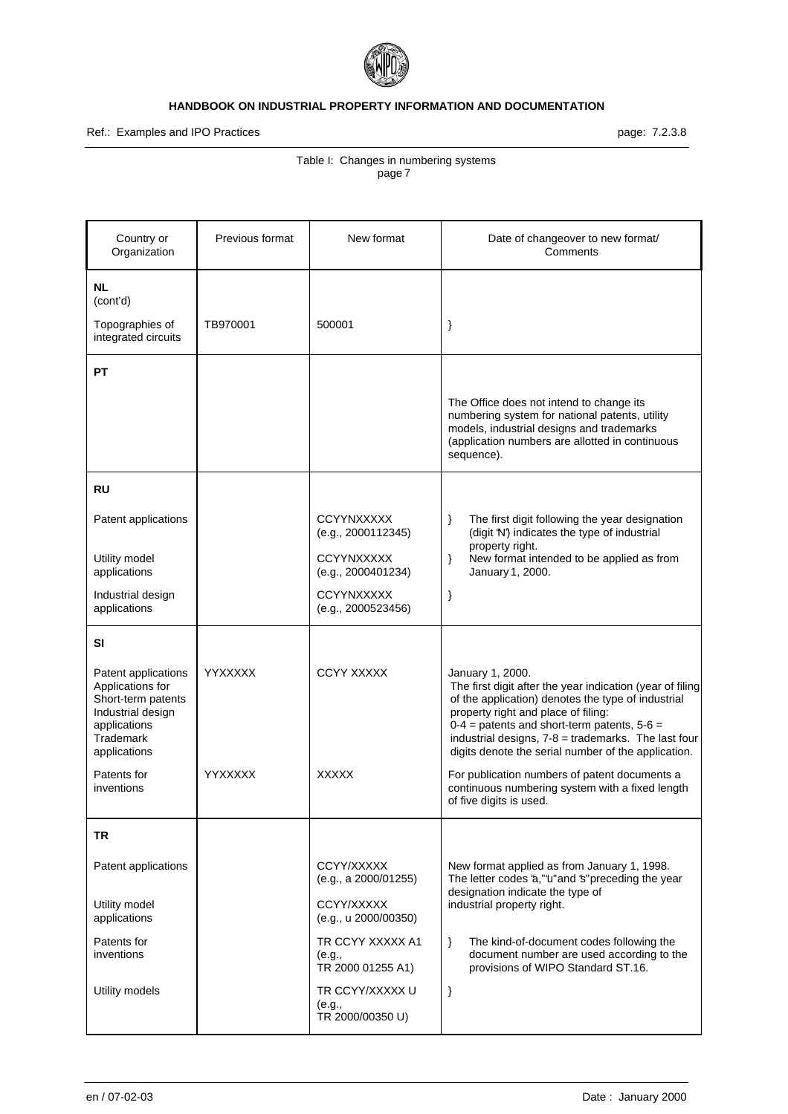

Ref.: Examples and IPO Practices **page: 7.2.3.8** page: 7.2.3.8

| Country or<br>Organization                                                                                                      | Previous format | New format                                      | Date of changeover to new format/<br>Comments                                                                                                                                                                                                                                                                                               |
|---------------------------------------------------------------------------------------------------------------------------------|-----------------|-------------------------------------------------|---------------------------------------------------------------------------------------------------------------------------------------------------------------------------------------------------------------------------------------------------------------------------------------------------------------------------------------------|
| <b>NL</b><br>(cont'd)                                                                                                           |                 |                                                 |                                                                                                                                                                                                                                                                                                                                             |
| Topographies of<br>integrated circuits                                                                                          | TB970001        | 500001                                          | }                                                                                                                                                                                                                                                                                                                                           |
| PТ                                                                                                                              |                 |                                                 |                                                                                                                                                                                                                                                                                                                                             |
|                                                                                                                                 |                 |                                                 | The Office does not intend to change its<br>numbering system for national patents, utility<br>models, industrial designs and trademarks<br>(application numbers are allotted in continuous<br>sequence).                                                                                                                                    |
| RU                                                                                                                              |                 |                                                 |                                                                                                                                                                                                                                                                                                                                             |
| Patent applications                                                                                                             |                 | <b>CCYYNXXXXX</b><br>(e.g., 2000112345)         | The first digit following the year designation<br>}<br>(digit 'N') indicates the type of industrial<br>property right.                                                                                                                                                                                                                      |
| Utility model<br>applications                                                                                                   |                 | <b>CCYYNXXXXX</b><br>(e.g., 2000401234)         | New format intended to be applied as from<br>$\}$<br>January 1, 2000.                                                                                                                                                                                                                                                                       |
| Industrial design<br>applications                                                                                               |                 | <b>CCYYNXXXXX</b><br>(e.g., 2000523456)         | }                                                                                                                                                                                                                                                                                                                                           |
| SI                                                                                                                              |                 |                                                 |                                                                                                                                                                                                                                                                                                                                             |
| Patent applications<br>Applications for<br>Short-term patents<br>Industrial design<br>applications<br>Trademark<br>applications | YYXXXXX         | <b>CCYY XXXXX</b>                               | January 1, 2000.<br>The first digit after the year indication (year of filing<br>of the application) denotes the type of industrial<br>property right and place of filing:<br>$0-4$ = patents and short-term patents, $5-6$ =<br>industrial designs, 7-8 = trademarks. The last four<br>digits denote the serial number of the application. |
| Patents for<br>inventions                                                                                                       | <b>YYXXXXX</b>  | <b>XXXXX</b>                                    | For publication numbers of patent documents a<br>continuous numbering system with a fixed length<br>of five digits is used.                                                                                                                                                                                                                 |
| <b>TR</b>                                                                                                                       |                 |                                                 |                                                                                                                                                                                                                                                                                                                                             |
| Patent applications                                                                                                             |                 | CCYY/XXXXX<br>(e.g., a 2000/01255)              | New format applied as from January 1, 1998.<br>The letter codes 'a,"'ti" and 's" preceding the year<br>designation indicate the type of                                                                                                                                                                                                     |
| Utility model<br>applications                                                                                                   |                 | CCYY/XXXXX<br>(e.g., u 2000/00350)              | industrial property right.                                                                                                                                                                                                                                                                                                                  |
| Patents for<br>inventions                                                                                                       |                 | TR CCYY XXXXX A1<br>(e.g.,<br>TR 2000 01255 A1) | $\}$<br>The kind-of-document codes following the<br>document number are used according to the<br>provisions of WIPO Standard ST.16.                                                                                                                                                                                                         |
| Utility models                                                                                                                  |                 | TR CCYY/XXXXX U<br>(e.g.,<br>TR 2000/00350 U)   | $\}$                                                                                                                                                                                                                                                                                                                                        |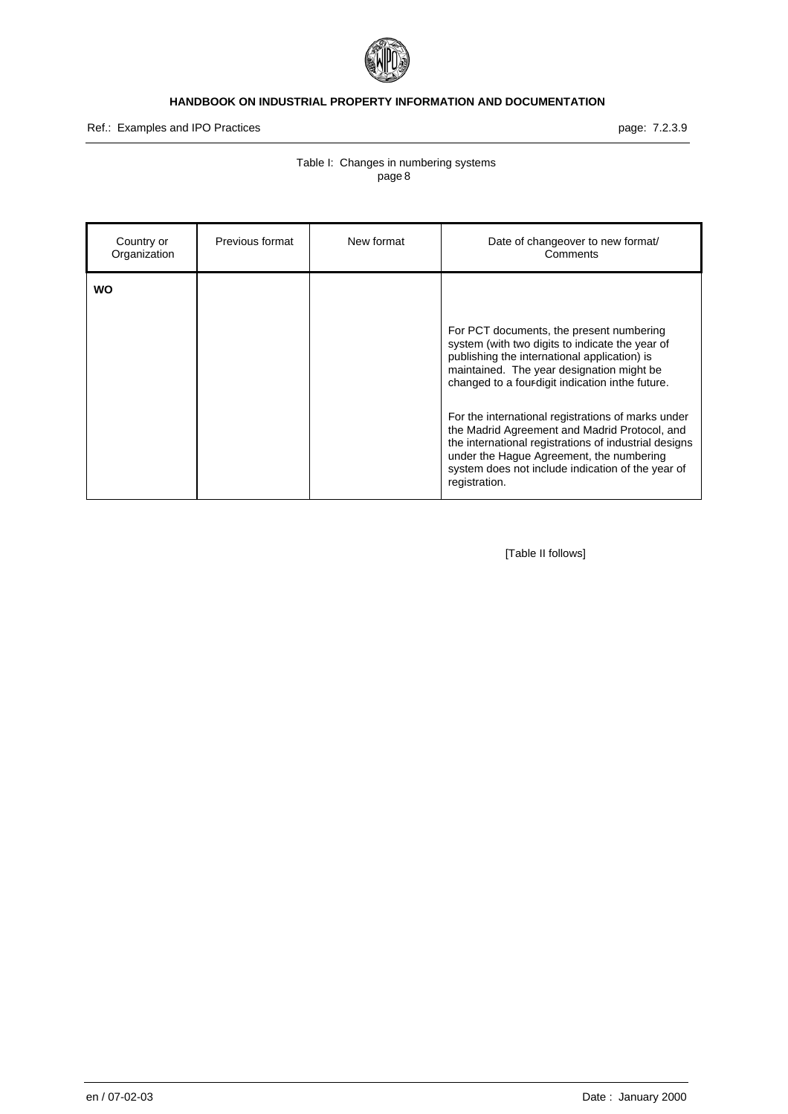

Ref.: Examples and IPO Practices **page: 7.2.3.9** page: 7.2.3.9

# Table I: Changes in numbering systems page 8

| Country or<br>Organization | Previous format | New format | Date of changeover to new format/<br>Comments                                                                                                                                                                                                                                                                                                        |
|----------------------------|-----------------|------------|------------------------------------------------------------------------------------------------------------------------------------------------------------------------------------------------------------------------------------------------------------------------------------------------------------------------------------------------------|
| WO                         |                 |            | For PCT documents, the present numbering<br>system (with two digits to indicate the year of<br>publishing the international application) is<br>maintained. The year designation might be<br>changed to a four-digit indication in the future.<br>For the international registrations of marks under<br>the Madrid Agreement and Madrid Protocol, and |
|                            |                 |            | the international registrations of industrial designs<br>under the Hague Agreement, the numbering<br>system does not include indication of the year of<br>registration.                                                                                                                                                                              |

[Table II follows]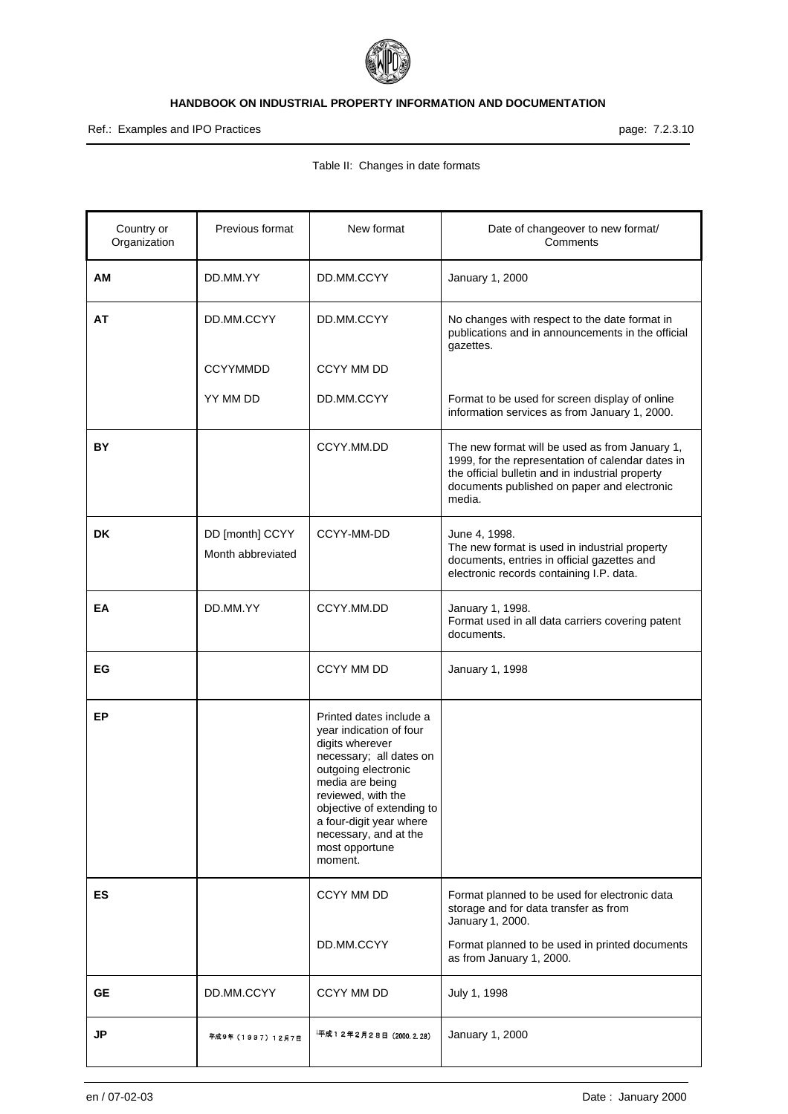

Ref.: Examples and IPO Practices **page: 7.2.3.10** 

# Table II: Changes in date formats

| Country or<br>Organization | Previous format                      | New format                                                                                                                                                                                                                                                                     | Date of changeover to new format/<br>Comments                                                                                                                                                                    |
|----------------------------|--------------------------------------|--------------------------------------------------------------------------------------------------------------------------------------------------------------------------------------------------------------------------------------------------------------------------------|------------------------------------------------------------------------------------------------------------------------------------------------------------------------------------------------------------------|
| ΑM                         | DD.MM.YY                             | DD.MM.CCYY                                                                                                                                                                                                                                                                     | January 1, 2000                                                                                                                                                                                                  |
| AΤ                         | DD.MM.CCYY                           | DD.MM.CCYY                                                                                                                                                                                                                                                                     | No changes with respect to the date format in<br>publications and in announcements in the official<br>gazettes.                                                                                                  |
|                            | <b>CCYYMMDD</b>                      | CCYY MM DD                                                                                                                                                                                                                                                                     |                                                                                                                                                                                                                  |
|                            | YY MM DD                             | DD.MM.CCYY                                                                                                                                                                                                                                                                     | Format to be used for screen display of online<br>information services as from January 1, 2000.                                                                                                                  |
| BY                         |                                      | CCYY.MM.DD                                                                                                                                                                                                                                                                     | The new format will be used as from January 1,<br>1999, for the representation of calendar dates in<br>the official bulletin and in industrial property<br>documents published on paper and electronic<br>media. |
| DK                         | DD [month] CCYY<br>Month abbreviated | CCYY-MM-DD                                                                                                                                                                                                                                                                     | June 4, 1998.<br>The new format is used in industrial property<br>documents, entries in official gazettes and<br>electronic records containing I.P. data.                                                        |
| EA                         | DD.MM.YY                             | CCYY.MM.DD                                                                                                                                                                                                                                                                     | January 1, 1998.<br>Format used in all data carriers covering patent<br>documents.                                                                                                                               |
| ЕG                         |                                      | CCYY MM DD                                                                                                                                                                                                                                                                     | January 1, 1998                                                                                                                                                                                                  |
| EP                         |                                      | Printed dates include a<br>year indication of four<br>digits wherever<br>necessary; all dates on<br>outgoing electronic<br>media are being<br>reviewed, with the<br>objective of extending to<br>a four-digit year where<br>necessary, and at the<br>most opportune<br>moment. |                                                                                                                                                                                                                  |
| ES.                        |                                      | CCYY MM DD                                                                                                                                                                                                                                                                     | Format planned to be used for electronic data<br>storage and for data transfer as from<br>January 1, 2000.                                                                                                       |
|                            |                                      | DD.MM.CCYY                                                                                                                                                                                                                                                                     | Format planned to be used in printed documents<br>as from January 1, 2000.                                                                                                                                       |
| <b>GE</b>                  | DD.MM.CCYY                           | CCYY MM DD                                                                                                                                                                                                                                                                     | July 1, 1998                                                                                                                                                                                                     |
| JP                         | 平成9年(1997)12月7日                      | 平成12年2月28日(2000.2.28)                                                                                                                                                                                                                                                          | January 1, 2000                                                                                                                                                                                                  |